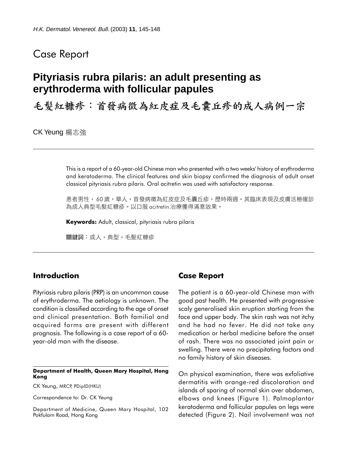## Case Report

# **Pityriasis rubra pilaris: an adult presenting as erythroderma with follicular papules**

毛髮紅糠疹:首發病徵為紅皮症及毛囊丘疹的成人病例一宗

CK Yeung 楊志強

This is a report of a 60-year-old Chinese man who presented with a two weeks' history of erythroderma and keratoderma. The clinical features and skin biopsy confirmed the diagnosis of adult onset classical pityriasis rubra pilaris. Oral acitretin was used with satisfactory response.

患者男性, 60 歲,華人,首發病徵為紅皮症及毛囊丘疹,歷時兩週。其臨床表現及皮膚活檢確診 為成㆟典型毛髮紅糠疹。以口服 acitretin 治療獲得滿意效果。

Keywords: Adult, classical, pityriasis rubra pilaris

關鍵詞:成㆟,典型,毛髮紅糠疹

### Introduction

Pityriasis rubra pilaris (PRP) is an uncommon cause of erythroderma. The aetiology is unknown. The condition is classified according to the age of onset and clinical presentation. Both familial and acquired forms are present with different prognosis. The following is a case report of a 60 year-old man with the disease.

#### Department of Health, Queen Mary Hospital, Hong Kong

CK Yeung, MRCP, PDipID(HKU)

Correspondence to: Dr. CK Yeung

Department of Medicine, Queen Mary Hospital, 102 Pokfulam Road, Hong Kong

### Case Report

The patient is a 60-year-old Chinese man with good past health. He presented with progressive scaly generalised skin eruption starting from the face and upper body. The skin rash was not itchy and he had no fever. He did not take any medication or herbal medicine before the onset of rash. There was no associated joint pain or swelling. There were no precipitating factors and no family history of skin diseases.

On physical examination, there was exfoliative dermatitis with orange-red discoloration and islands of sparing of normal skin over abdomen, elbows and knees (Figure 1). Palmoplantar keratoderma and follicular papules on legs were detected (Figure 2). Nail involvement was not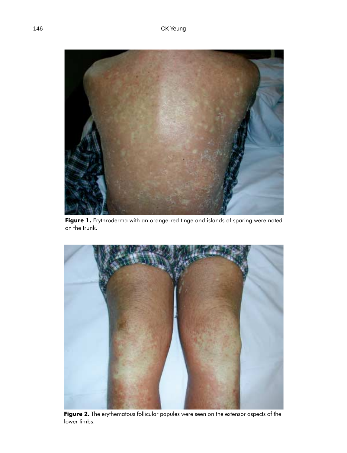

Figure 1. Erythroderma with an orange-red tinge and islands of sparing were noted on the trunk.



Figure 2. The erythematous follicular papules were seen on the extensor aspects of the lower limbs.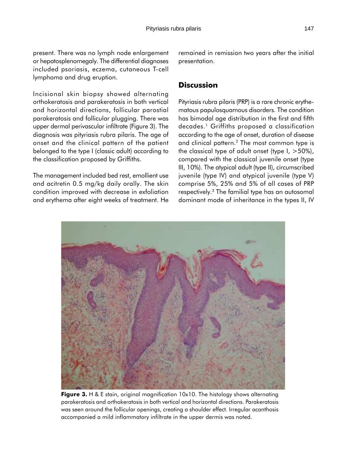present. There was no lymph node enlargement or hepatosplenomegaly. The differential diagnoses included psoriasis, eczema, cutaneous T-cell lymphoma and drug eruption.

Incisional skin biopsy showed alternating orthokeratosis and parakeratosis in both vertical and horizontal directions, follicular parostial parakeratosis and follicular plugging. There was upper dermal perivascular infiltrate (Figure 3). The diagnosis was pityriasis rubra pilaris. The age of onset and the clinical pattern of the patient belonged to the type I (classic adult) according to the classification proposed by Griffiths.

The management included bed rest, emollient use and acitretin 0.5 mg/kg daily orally. The skin condition improved with decrease in exfoliation and erythema after eight weeks of treatment. He remained in remission two years after the initial presentation.

### **Discussion**

Pityriasis rubra pilaris (PRP) is a rare chronic erythematous papulosquamous disorders. The condition has bimodal age distribution in the first and fifth decades.<sup>1</sup> Griffiths proposed a classification according to the age of onset, duration of disease and clinical pattern.<sup>2</sup> The most common type is the classical type of adult onset (type  $1, >50\%$ ), compared with the classical juvenile onset (type III, 10%). The atypical adult (type II), circumscribed juvenile (type IV) and atypical juvenile (type V) comprise 5%, 25% and 5% of all cases of PRP respectively.<sup>3</sup> The familial type has an autosomal dominant mode of inheritance in the types II, IV



Figure 3. H & E stain, original magnification 10x10. The histology shows alternating parakeratosis and orthokeratosis in both vertical and horizontal directions. Parakeratosis was seen around the follicular openings, creating a shoulder effect. Irregular acanthosis accompanied a mild inflammatory infiltrate in the upper dermis was noted.